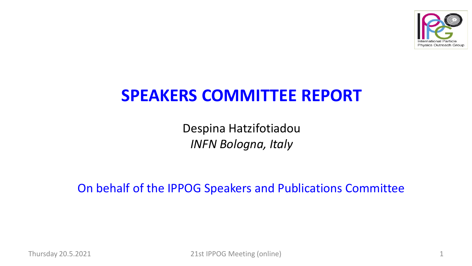

# **SPEAKERS COMMITTEE REPORT**

Despina Hatzifotiadou *INFN Bologna, Italy*

On behalf of the IPPOG Speakers and Publications Committee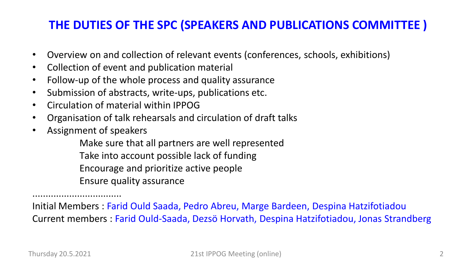# **THE DUTIES OF THE SPC (SPEAKERS AND PUBLICATIONS COMMITTEE )**

- Overview on and collection of relevant events (conferences, schools, exhibitions)
- Collection of event and publication material
- Follow-up of the whole process and quality assurance
- Submission of abstracts, write-ups, publications etc.
- Circulation of material within IPPOG
- Organisation of talk rehearsals and circulation of draft talks
- Assignment of speakers

Make sure that all partners are well represented Τake into account possible lack of funding Encourage and prioritize active people Ensure quality assurance

.................................. Initial Members : Farid Ould Saada, Pedro Abreu, Marge Bardeen, Despina Hatzifotiadou Current members : Farid Ould-Saada, Dezsö Horvath, Despina Hatzifotiadou, Jonas Strandberg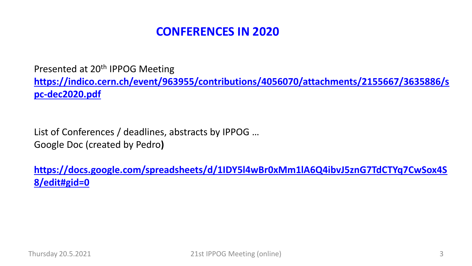Presented at 20<sup>th</sup> IPPOG Meeting **[https://indico.cern.ch/event/963955/contributions/4056070/attachments/2155667/3635886/s](https://indico.cern.ch/event/963955/contributions/4056070/attachments/2155667/3635886/spc-dec2020.pdf) pc-dec2020.pdf**

List of Conferences / deadlines, abstracts by IPPOG … Google Doc (created by Pedro**)**

**[https://docs.google.com/spreadsheets/d/1IDY5l4wBr0xMm1lA6Q4ibvJ5znG7TdCTYq7CwSox4S](https://docs.google.com/spreadsheets/d/1IDY5l4wBr0xMm1lA6Q4ibvJ5znG7TdCTYq7CwSox4S8/edit%23gid=0) 8/edit#gid=0**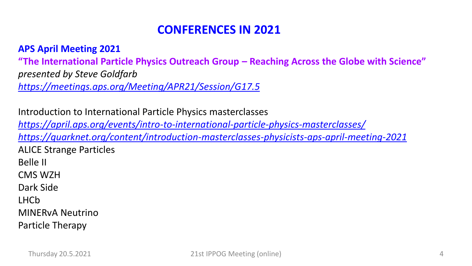#### **APS April Meeting 2021**

**"The International Particle Physics Outreach Group – Reaching Across the Globe with Science"** *presented by Steve Goldfarb <https://meetings.aps.org/Meeting/APR21/Session/G17.5>*

Introduction to International Particle Physics masterclasses *<https://april.aps.org/events/intro-to-international-particle-physics-masterclasses/> <https://quarknet.org/content/introduction-masterclasses-physicists-aps-april-meeting-2021>* ALICE Strange Particles Belle II CMS WZH Dark Side LHCb MINERvA Neutrino Particle Therapy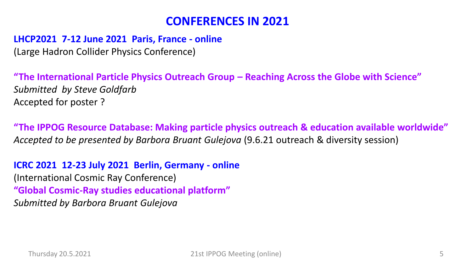#### **LHCP2021 7-12 June 2021 Paris, France - online**

(Large Hadron Collider Physics Conference)

**"The International Particle Physics Outreach Group – Reaching Across the Globe with Science"** *Submitted by Steve Goldfarb* Accepted for poster ?

**"The IPPOG Resource Database: Making particle physics outreach & education available worldwide"** *Accepted to be presented by Barbora Bruant Gulejova* (9.6.21 outreach & diversity session)

**ICRC 2021 12-23 July 2021 Berlin, Germany - online** (International Cosmic Ray Conference) **"Global Cosmic-Ray studies educational platform"** *Submitted by Barbora Bruant Gulejova*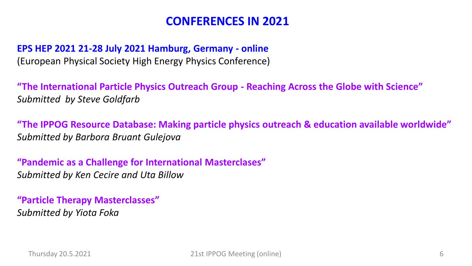### **EPS HEP 2021 21-28 July 2021 Hamburg, Germany - online** (European Physical Society High Energy Physics Conference)

**"The International Particle Physics Outreach Group - Reaching Across the Globe with Science"** *Submitted by Steve Goldfarb*

**"The IPPOG Resource Database: Making particle physics outreach & education available worldwide"** *Submitted by Barbora Bruant Gulejova*

**"Pandemic as a Challenge for International Masterclases"** *Submitted by Ken Cecire and Uta Billow* 

**"Particle Therapy Masterclasses"** *Submitted by Yiota Foka*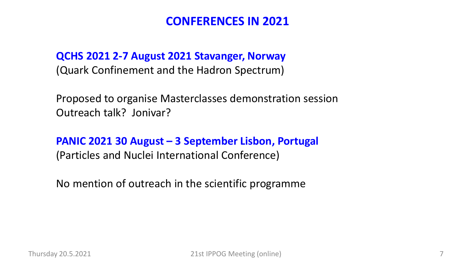**QCHS 2021 2-7 August 2021 Stavanger, Norway** (Quark Confinement and the Hadron Spectrum)

Proposed to organise Masterclasses demonstration session Outreach talk? Jonivar?

**PANIC 2021 30 August – 3 September Lisbon, Portugal**  (Particles and Nuclei International Conference)

No mention of outreach in the scientific programme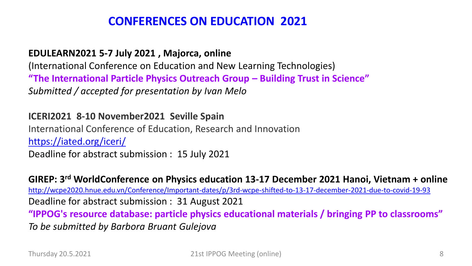# **CONFERENCES ON EDUCATION 2021**

#### **EDULEARN2021 5-7 July 2021 , Majorca, online**

(International Conference on Education and New Learning Technologies) **"The International Particle Physics Outreach Group – Building Trust in Science"** *Submitted / accepted for presentation by Ivan Melo*

### **ICERI2021 8-10 November2021 Seville Spain**

International Conference of Education, Research and Innovation <https://iated.org/iceri/> Deadline for abstract submission : 15 July 2021

**GIREP: 3 rd WorldConference on Physics education 13-17 December 2021 Hanoi, Vietnam + online** <http://wcpe2020.hnue.edu.vn/Conference/Important-dates/p/3rd-wcpe-shifted-to-13-17-december-2021-due-to-covid-19-93> Deadline for abstract submission : 31 August 2021 **"IPPOG's resource database: particle physics educational materials / bringing PP to classrooms"** *To be submitted by Barbora Bruant Gulejova*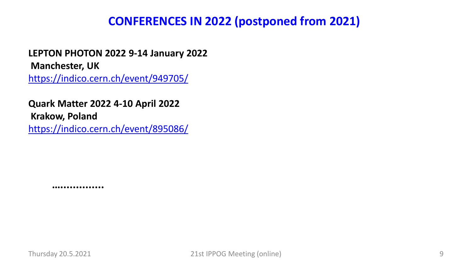## **CONFERENCES IN 2022 (postponed from 2021)**

**LEPTON PHOTON 2022 9-14 January 2022 Manchester, UK** <https://indico.cern.ch/event/949705/>

**Quark Matter 2022 4-10 April 2022 Krakow, Poland** <https://indico.cern.ch/event/895086/>

**…..............**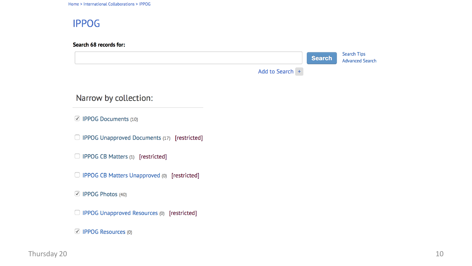Home > International Collaborations > IPPOG

### **IPPOG**

Search 68 records for:

|                                                   |                 | <b>Search</b> | <b>Search Tips</b><br><b>Advanced Search</b> |
|---------------------------------------------------|-----------------|---------------|----------------------------------------------|
|                                                   | Add to Search + |               |                                              |
| Narrow by collection:                             |                 |               |                                              |
| ☑ IPPOG Documents (10)                            |                 |               |                                              |
| IPPOG Unapproved Documents (17) [restricted]<br>U |                 |               |                                              |
| IPPOG CB Matters (1) [restricted]<br>U            |                 |               |                                              |
| □ IPPOG CB Matters Unapproved (0) [restricted]    |                 |               |                                              |
| ☑ IPPOG Photos (40)                               |                 |               |                                              |
| IPPOG Unapproved Resources (0) [restricted]<br>u  |                 |               |                                              |
| ○ IPPOG Resources (0)                             |                 |               |                                              |

 $\Gamma$ hursday 20 $10$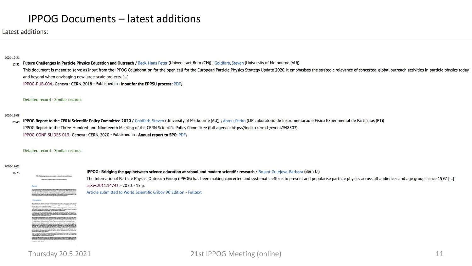### IPPOG Documents – latest additions

Latest additions:

2020-12-21

#### Future Challenges in Particle Physics Education and Outreach / Beck, Hans Peter (Universitaet Bern (CH)) ; Goldfarb, Steven (University of Melbourne (AU))  $12:32$

This document is meant to serve as input from the IPPOG Collaboration for the open call for the European Particle Physics Strategy Update 2020. It emphasises the strategic relevance of concerted, global outreach activities and beyond when envisaging new large-scale projects. [...]

IPPOG-PUB-004.- Geneva: CERN. 2018 - Published in: Input for the EPPSU process: PDF;

#### Detailed record - Similar records

#### 2020-12-08

IPPOG Report to the CERN Scientific Policy Committee 2020 / Goldfarb, Steven (University of Melbourne (AU)) ; Abreu, Pedro (LIP Laboratorio de Instrumentacao e Fisica Experimental de Particulas (PT))  $09 - 49$ IPPOG Report to the Three-Hundred-and-Nineteenth Meeting of the CERN Scientific Policy Committee (full agenda: https://indico.cern.ch/event/948802) IPPOG-CONF-SLIDES-013.- Geneva: CERN, 2020 - Published in: Annual report to SPC: PDF;

#### Detailed record - Similar records

2020-12-02 16:23

IPPOG : Bridging the gap between science education at school and modern scientific research / Bruant Gulejova, Barbora (Bern U.) The International Particle Physics Outreach Group (IPPOG) has been making concerted and systematic efforts to present and popularise particle physics across all audiences and age groups since 1997. [...] arXiv:2011.14743. - 2020. - 15 p. Article submitted to World Scientific Griboy 90 Edition - Fulltext